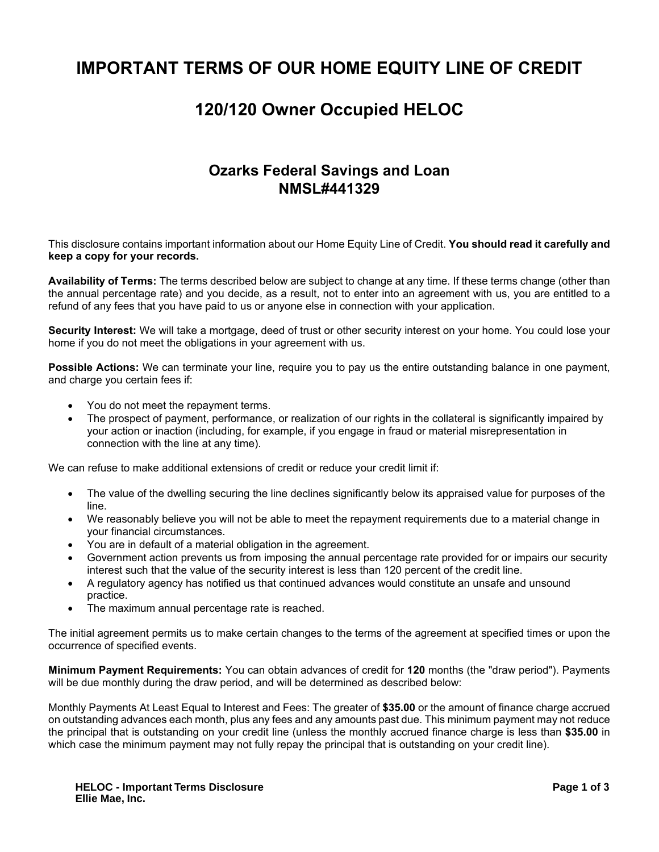# **IMPORTANT TERMS OF OUR HOME EQUITY LINE OF CREDIT**

## **120/120 Owner Occupied HELOC**

### **Ozarks Federal Savings and Loan NMSL#441329**

This disclosure contains important information about our Home Equity Line of Credit. **You should read it carefully and keep a copy for your records.** 

**Availability of Terms:** The terms described below are subject to change at any time. If these terms change (other than the annual percentage rate) and you decide, as a result, not to enter into an agreement with us, you are entitled to a refund of any fees that you have paid to us or anyone else in connection with your application.

**Security Interest:** We will take a mortgage, deed of trust or other security interest on your home. You could lose your home if you do not meet the obligations in your agreement with us.

**Possible Actions:** We can terminate your line, require you to pay us the entire outstanding balance in one payment, and charge you certain fees if:

- You do not meet the repayment terms.
- The prospect of payment, performance, or realization of our rights in the collateral is significantly impaired by your action or inaction (including, for example, if you engage in fraud or material misrepresentation in connection with the line at any time).

We can refuse to make additional extensions of credit or reduce your credit limit if:

- The value of the dwelling securing the line declines significantly below its appraised value for purposes of the line.
- We reasonably believe you will not be able to meet the repayment requirements due to a material change in your financial circumstances.
- You are in default of a material obligation in the agreement.
- Government action prevents us from imposing the annual percentage rate provided for or impairs our security interest such that the value of the security interest is less than 120 percent of the credit line.
- A regulatory agency has notified us that continued advances would constitute an unsafe and unsound practice.
- The maximum annual percentage rate is reached.

The initial agreement permits us to make certain changes to the terms of the agreement at specified times or upon the occurrence of specified events.

**Minimum Payment Requirements:** You can obtain advances of credit for **120** months (the "draw period"). Payments will be due monthly during the draw period, and will be determined as described below:

Monthly Payments At Least Equal to Interest and Fees: The greater of **\$35.00** or the amount of finance charge accrued on outstanding advances each month, plus any fees and any amounts past due. This minimum payment may not reduce the principal that is outstanding on your credit line (unless the monthly accrued finance charge is less than **\$35.00** in which case the minimum payment may not fully repay the principal that is outstanding on your credit line).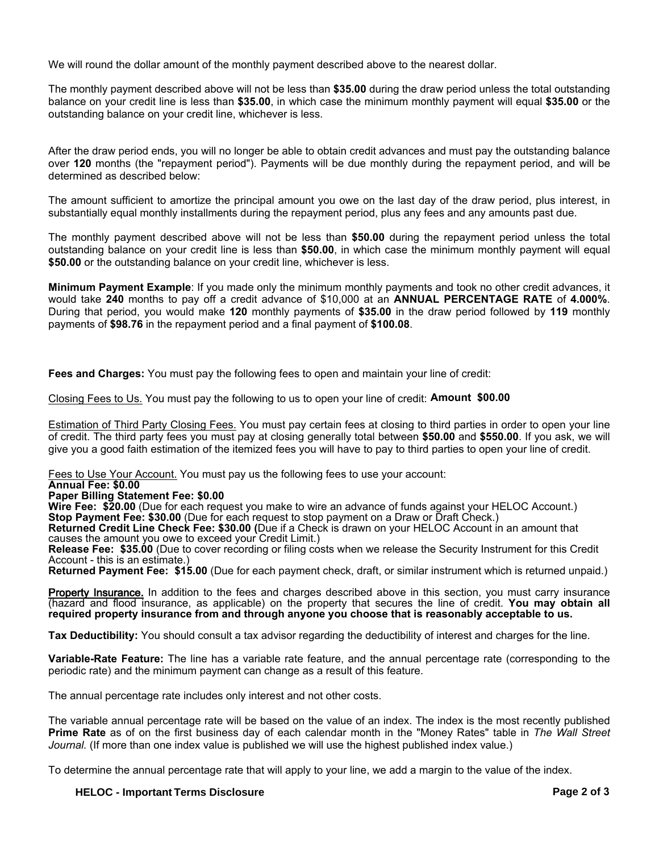We will round the dollar amount of the monthly payment described above to the nearest dollar.

The monthly payment described above will not be less than **\$35.00** during the draw period unless the total outstanding balance on your credit line is less than **\$35.00**, in which case the minimum monthly payment will equal **\$35.00** or the outstanding balance on your credit line, whichever is less.

After the draw period ends, you will no longer be able to obtain credit advances and must pay the outstanding balance over **120** months (the "repayment period"). Payments will be due monthly during the repayment period, and will be determined as described below:

The amount sufficient to amortize the principal amount you owe on the last day of the draw period, plus interest, in substantially equal monthly installments during the repayment period, plus any fees and any amounts past due.

The monthly payment described above will not be less than **\$50.00** during the repayment period unless the total outstanding balance on your credit line is less than **\$50.00**, in which case the minimum monthly payment will equal **\$50.00** or the outstanding balance on your credit line, whichever is less.

**Minimum Payment Example**: If you made only the minimum monthly payments and took no other credit advances, it would take **240** months to pay off a credit advance of \$10,000 at an **ANNUAL PERCENTAGE RATE** of **4.000%**. During that period, you would make **120** monthly payments of **\$35.00** in the draw period followed by **119** monthly payments of **\$98.76** in the repayment period and a final payment of **\$100.08**.

**Fees and Charges:** You must pay the following fees to open and maintain your line of credit:

Closing Fees to Us. You must pay the following to us to open your line of credit: **Amount \$00.00**

Estimation of Third Party Closing Fees. You must pay certain fees at closing to third parties in order to open your line of credit. The third party fees you must pay at closing generally total between **\$50.00** and **\$550.00**. If you ask, we will give you a good faith estimation of the itemized fees you will have to pay to third parties to open your line of credit.

Fees to Use Your Account. You must pay us the following fees to use your account:

### **Annual Fee: \$0.00**

#### **Paper Billing Statement Fee: \$0.00**

**Wire Fee: \$20.00** (Due for each request you make to wire an advance of funds against your HELOC Account.) **Stop Payment Fee: \$30.00** (Due for each request to stop payment on a Draw or Draft Check.)

**Returned Credit Line Check Fee: \$30.00 (**Due if a Check is drawn on your HELOC Account in an amount that causes the amount you owe to exceed your Credit Limit.)

Release Fee: \$35.00 (Due to cover recording or filing costs when we release the Security Instrument for this Credit Account - this is an estimate.)

**Returned Payment Fee: \$15.00** (Due for each payment check, draft, or similar instrument which is returned unpaid.)

Property Insurance. In addition to the fees and charges described above in this section, you must carry insurance (hazard and flood insurance, as applicable) on the property that secures the line of credit. **You may obtain all required property insurance from and through anyone you choose that is reasonably acceptable to us.**

**Tax Deductibility:** You should consult a tax advisor regarding the deductibility of interest and charges for the line.

**Variable-Rate Feature:** The line has a variable rate feature, and the annual percentage rate (corresponding to the periodic rate) and the minimum payment can change as a result of this feature.

The annual percentage rate includes only interest and not other costs.

The variable annual percentage rate will be based on the value of an index. The index is the most recently published **Prime Rate** as of on the first business day of each calendar month in the "Money Rates" table in *The Wall Street Journal.* (If more than one index value is published we will use the highest published index value.)

To determine the annual percentage rate that will apply to your line, we add a margin to the value of the index.

**HELOC - Important Terms Disclosure Page 2 of 3**